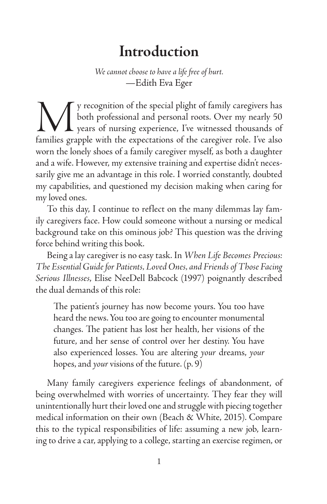# **Introduction**

*We cannot choose to have a life free of hurt.* —Edith Eva Eger

We y recognition of the special plight of family caregivers has<br>both professional and personal roots. Over my nearly 50<br>families grapple with the expectations of the caregiver role. I've also both professional and personal roots. Over my nearly 50 years of nursing experience, I've witnessed thousands of families grapple with the expectations of the caregiver role. I've also worn the lonely shoes of a family caregiver myself, as both a daughter and a wife. However, my extensive training and expertise didn't necessarily give me an advantage in this role. I worried constantly, doubted my capabilities, and questioned my decision making when caring for my loved ones.

To this day, I continue to reflect on the many dilemmas lay family caregivers face. How could someone without a nursing or medical background take on this ominous job? This question was the driving force behind writing this book.

Being a lay caregiver is no easy task. In *When Life Becomes Precious: The Essential Guide for Patients, Loved Ones, and Friends of Those Facing Serious Illnesses*, Elise NeeDell Babcock (1997) poignantly described the dual demands of this role:

The patient's journey has now become yours. You too have heard the news. You too are going to encounter monumental changes. The patient has lost her health, her visions of the future, and her sense of control over her destiny. You have also experienced losses. You are altering *your* dreams, *your* hopes, and *your* visions of the future. (p. 9)

Many family caregivers experience feelings of abandonment, of being overwhelmed with worries of uncertainty. They fear they will unintentionally hurt their loved one and struggle with piecing together medical information on their own (Beach & White, 2015). Compare this to the typical responsibilities of life: assuming a new job, learning to drive a car, applying to a college, starting an exercise regimen, or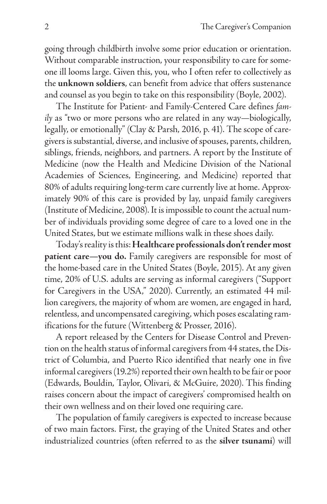going through childbirth involve some prior education or orientation. Without comparable instruction, your responsibility to care for someone ill looms large. Given this, you, who I often refer to collectively as the **unknown soldiers**, can benefit from advice that offers sustenance and counsel as you begin to take on this responsibility (Boyle, 2002).

The Institute for Patient- and Family-Centered Care defines *family* as "two or more persons who are related in any way—biologically, legally, or emotionally" (Clay & Parsh, 2016, p. 41). The scope of caregivers is substantial, diverse, and inclusive of spouses, parents, children, siblings, friends, neighbors, and partners. A report by the Institute of Medicine (now the Health and Medicine Division of the National Academies of Sciences, Engineering, and Medicine) reported that 80% of adults requiring long-term care currently live at home. Approximately 90% of this care is provided by lay, unpaid family caregivers (Institute of Medicine, 2008). It is impossible to count the actual number of individuals providing some degree of care to a loved one in the United States, but we estimate millions walk in these shoes daily.

Today's reality is this: **Healthcare professionals don't render most patient care—you do.** Family caregivers are responsible for most of the home-based care in the United States (Boyle, 2015). At any given time, 20% of U.S. adults are serving as informal caregivers ("Support for Caregivers in the USA," 2020). Currently, an estimated 44 million caregivers, the majority of whom are women, are engaged in hard, relentless, and uncompensated caregiving, which poses escalating ramifications for the future (Wittenberg & Prosser, 2016).

A report released by the Centers for Disease Control and Prevention on the health status of informal caregivers from 44 states, the District of Columbia, and Puerto Rico identified that nearly one in five informal caregivers (19.2%) reported their own health to be fair or poor (Edwards, Bouldin, Taylor, Olivari, & McGuire, 2020). This finding raises concern about the impact of caregivers' compromised health on their own wellness and on their loved one requiring care.

The population of family caregivers is expected to increase because of two main factors. First, the graying of the United States and other industrialized countries (often referred to as the **silver tsunami**) will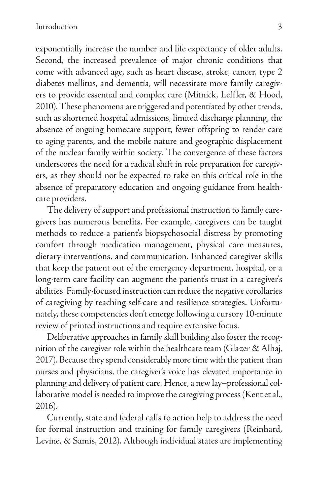exponentially increase the number and life expectancy of older adults. Second, the increased prevalence of major chronic conditions that come with advanced age, such as heart disease, stroke, cancer, type 2 diabetes mellitus, and dementia, will necessitate more family caregivers to provide essential and complex care (Mitnick, Leffler, & Hood, 2010). These phenomena are triggered and potentiated by other trends, such as shortened hospital admissions, limited discharge planning, the absence of ongoing homecare support, fewer offspring to render care to aging parents, and the mobile nature and geographic displacement of the nuclear family within society. The convergence of these factors underscores the need for a radical shift in role preparation for caregivers, as they should not be expected to take on this critical role in the absence of preparatory education and ongoing guidance from healthcare providers.

The delivery of support and professional instruction to family caregivers has numerous benefits. For example, caregivers can be taught methods to reduce a patient's biopsychosocial distress by promoting comfort through medication management, physical care measures, dietary interventions, and communication. Enhanced caregiver skills that keep the patient out of the emergency department, hospital, or a long-term care facility can augment the patient's trust in a caregiver's abilities. Family-focused instruction can reduce the negative corollaries of caregiving by teaching self-care and resilience strategies. Unfortunately, these competencies don't emerge following a cursory 10-minute review of printed instructions and require extensive focus.

Deliberative approaches in family skill building also foster the recognition of the caregiver role within the healthcare team (Glazer & Alhaj, 2017). Because they spend considerably more time with the patient than nurses and physicians, the caregiver's voice has elevated importance in planning and delivery of patient care. Hence, a new lay–professional collaborative model is needed to improve the caregiving process (Kent et al., 2016).

Currently, state and federal calls to action help to address the need for formal instruction and training for family caregivers (Reinhard, Levine, & Samis, 2012). Although individual states are implementing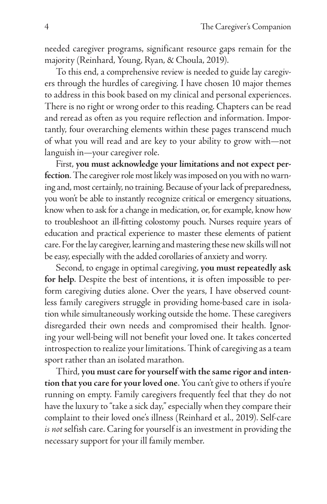needed caregiver programs, significant resource gaps remain for the majority (Reinhard, Young, Ryan, & Choula, 2019).

To this end, a comprehensive review is needed to guide lay caregivers through the hurdles of caregiving. I have chosen 10 major themes to address in this book based on my clinical and personal experiences. There is no right or wrong order to this reading. Chapters can be read and reread as often as you require reflection and information. Importantly, four overarching elements within these pages transcend much of what you will read and are key to your ability to grow with—not languish in—your caregiver role.

First, **you must acknowledge your limitations and not expect perfection**. The caregiver role most likely was imposed on you with no warning and, most certainly, no training. Because of your lack of preparedness, you won't be able to instantly recognize critical or emergency situations, know when to ask for a change in medication, or, for example, know how to troubleshoot an ill-fitting colostomy pouch. Nurses require years of education and practical experience to master these elements of patient care. For the lay caregiver, learning and mastering these new skills will not be easy, especially with the added corollaries of anxiety and worry.

Second, to engage in optimal caregiving, **you must repeatedly ask for help**. Despite the best of intentions, it is often impossible to perform caregiving duties alone. Over the years, I have observed countless family caregivers struggle in providing home-based care in isolation while simultaneously working outside the home. These caregivers disregarded their own needs and compromised their health. Ignoring your well-being will not benefit your loved one. It takes concerted introspection to realize your limitations. Think of caregiving as a team sport rather than an isolated marathon.

Third, **you must care for yourself with the same rigor and intention that you care for your loved one**. You can't give to others if you're running on empty. Family caregivers frequently feel that they do not have the luxury to "take a sick day," especially when they compare their complaint to their loved one's illness (Reinhard et al., 2019). Self-care *is not* selfish care. Caring for yourself is an investment in providing the necessary support for your ill family member.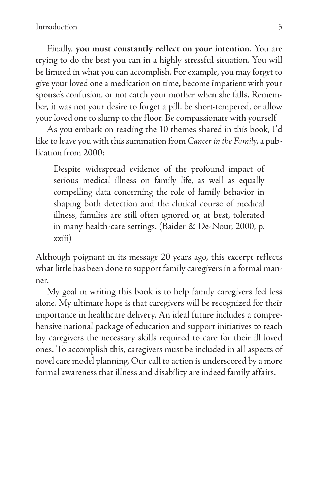Finally, **you must constantly reflect on your intention**. You are trying to do the best you can in a highly stressful situation. You will be limited in what you can accomplish. For example, you may forget to give your loved one a medication on time, become impatient with your spouse's confusion, or not catch your mother when she falls. Remember, it was not your desire to forget a pill, be short-tempered, or allow your loved one to slump to the floor. Be compassionate with yourself.

As you embark on reading the 10 themes shared in this book, I'd like to leave you with this summation from *Cancer in the Family*, a publication from 2000:

Despite widespread evidence of the profound impact of serious medical illness on family life, as well as equally compelling data concerning the role of family behavior in shaping both detection and the clinical course of medical illness, families are still often ignored or, at best, tolerated in many health-care settings. (Baider & De-Nour, 2000, p. xxiii)

Although poignant in its message 20 years ago, this excerpt reflects what little has been done to support family caregivers in a formal manner.

My goal in writing this book is to help family caregivers feel less alone. My ultimate hope is that caregivers will be recognized for their importance in healthcare delivery. An ideal future includes a comprehensive national package of education and support initiatives to teach lay caregivers the necessary skills required to care for their ill loved ones. To accomplish this, caregivers must be included in all aspects of novel care model planning. Our call to action is underscored by a more formal awareness that illness and disability are indeed family affairs.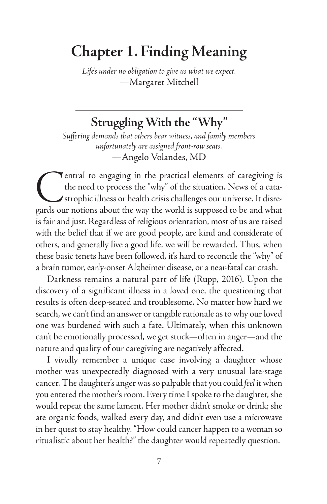# **Chapter 1. Finding Meaning**

*Life's under no obligation to give us what we expect.* —Margaret Mitchell

## **Struggling With the "Why"**

*Suffering demands that others bear witness, and family members unfortunately are assigned front-row seats.* —Angelo Volandes, MD

**CENT** entral to engaging in the practical elements of caregiving is the need to process the "why" of the situation. News of a cata-<br>strophic illness or health crisis challenges our universe. It disregards our notions abou the need to process the "why" of the situation. News of a catastrophic illness or health crisis challenges our universe. It disregards our notions about the way the world is supposed to be and what is fair and just. Regardless of religious orientation, most of us are raised with the belief that if we are good people, are kind and considerate of others, and generally live a good life, we will be rewarded. Thus, when these basic tenets have been followed, it's hard to reconcile the "why" of a brain tumor, early-onset Alzheimer disease, or a near-fatal car crash.

Darkness remains a natural part of life (Rupp, 2016). Upon the discovery of a significant illness in a loved one, the questioning that results is often deep-seated and troublesome. No matter how hard we search, we can't find an answer or tangible rationale as to why our loved one was burdened with such a fate. Ultimately, when this unknown can't be emotionally processed, we get stuck—often in anger—and the nature and quality of our caregiving are negatively affected.

I vividly remember a unique case involving a daughter whose mother was unexpectedly diagnosed with a very unusual late-stage cancer. The daughter's anger was so palpable that you could *feel* it when you entered the mother's room. Every time I spoke to the daughter, she would repeat the same lament. Her mother didn't smoke or drink; she ate organic foods, walked every day, and didn't even use a microwave in her quest to stay healthy. "How could cancer happen to a woman so ritualistic about her health?" the daughter would repeatedly question.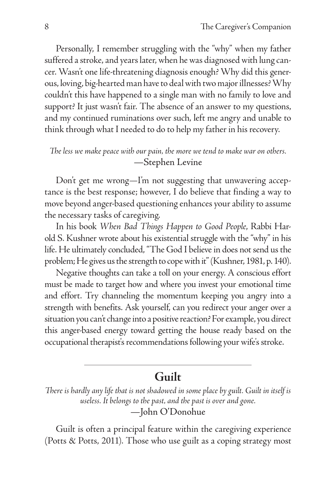Personally, I remember struggling with the "why" when my father suffered a stroke, and years later, when he was diagnosed with lung cancer. Wasn't one life-threatening diagnosis enough? Why did this generous, loving, big-hearted man have to deal with two major illnesses? Why couldn't this have happened to a single man with no family to love and support? It just wasn't fair. The absence of an answer to my questions, and my continued ruminations over such, left me angry and unable to think through what I needed to do to help my father in his recovery.

#### *The less we make peace with our pain, the more we tend to make war on others.* —Stephen Levine

Don't get me wrong—I'm not suggesting that unwavering acceptance is the best response; however, I do believe that finding a way to move beyond anger-based questioning enhances your ability to assume the necessary tasks of caregiving.

In his book *When Bad Things Happen to Good People*, Rabbi Harold S. Kushner wrote about his existential struggle with the "why" in his life. He ultimately concluded, "The God I believe in does not send us the problem; He gives us the strength to cope with it" (Kushner, 1981, p. 140).

Negative thoughts can take a toll on your energy. A conscious effort must be made to target how and where you invest your emotional time and effort. Try channeling the momentum keeping you angry into a strength with benefits. Ask yourself, can you redirect your anger over a situation you can't change into a positive reaction? For example, you direct this anger-based energy toward getting the house ready based on the occupational therapist's recommendations following your wife's stroke.

### **Guilt**

*There is hardly any life that is not shadowed in some place by guilt. Guilt in itself is useless. It belongs to the past, and the past is over and gone.* —John O'Donohue

Guilt is often a principal feature within the caregiving experience (Potts & Potts, 2011). Those who use guilt as a coping strategy most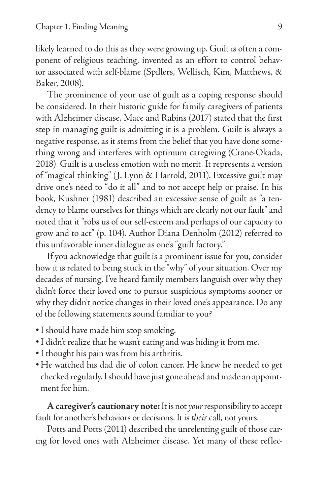likely learned to do this as they were growing up. Guilt is often a component of religious teaching, invented as an effort to control behavior associated with self-blame (Spillers, Wellisch, Kim, Matthews, & Baker, 2008).

The prominence of your use of guilt as a coping response should be considered. In their historic guide for family caregivers of patients with Alzheimer disease, Mace and Rabins (2017) stated that the first step in managing guilt is admitting it is a problem. Guilt is always a negative response, as it stems from the belief that you have done something wrong and interferes with optimum caregiving (Crane-Okada, 2018). Guilt is a useless emotion with no merit. It represents a version of "magical thinking" (J. Lynn & Harrold, 2011). Excessive guilt may drive one's need to "do it all" and to not accept help or praise. In his book, Kushner (1981) described an excessive sense of guilt as "a tendency to blame ourselves for things which are clearly not our fault" and noted that it "robs us of our self-esteem and perhaps of our capacity to grow and to act" (p. 104). Author Diana Denholm (2012) referred to this unfavorable inner dialogue as one's "guilt factory."

If you acknowledge that guilt is a prominent issue for you, consider how it is related to being stuck in the "why" of your situation. Over my decades of nursing, I've heard family members languish over why they didn't force their loved one to pursue suspicious symptoms sooner or why they didn't notice changes in their loved one's appearance. Do any of the following statements sound familiar to you?

- •I should have made him stop smoking.
- •I didn't realize that he wasn't eating and was hiding it from me.
- •I thought his pain was from his arthritis.
- He watched his dad die of colon cancer. He knew he needed to get checked regularly. I should have just gone ahead and made an appointment for him.

**A caregiver's cautionary note:** It is not *your* responsibility to accept fault for another's behaviors or decisions. It is *their* call, not yours.

Potts and Potts (2011) described the unrelenting guilt of those caring for loved ones with Alzheimer disease. Yet many of these reflec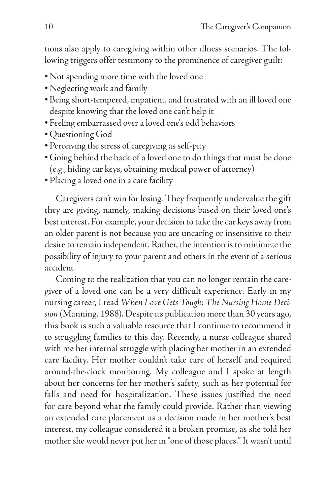tions also apply to caregiving within other illness scenarios. The following triggers offer testimony to the prominence of caregiver guilt:

- •Not spending more time with the loved one
- •Neglecting work and family
- Being short-tempered, impatient, and frustrated with an ill loved one despite knowing that the loved one can't help it
- Feeling embarrassed over a loved one's odd behaviors
- •Questioning God
- Perceiving the stress of caregiving as self-pity
- Going behind the back of a loved one to do things that must be done (e.g., hiding car keys, obtaining medical power of attorney)
- Placing a loved one in a care facility

Caregivers can't win for losing. They frequently undervalue the gift they are giving, namely, making decisions based on their loved one's best interest. For example, your decision to take the car keys away from an older parent is not because you are uncaring or insensitive to their desire to remain independent. Rather, the intention is to minimize the possibility of injury to your parent and others in the event of a serious accident.

Coming to the realization that you can no longer remain the caregiver of a loved one can be a very difficult experience. Early in my nursing career, I read *When Love Gets Tough: The Nursing Home Decision* (Manning, 1988). Despite its publication more than 30 years ago, this book is such a valuable resource that I continue to recommend it to struggling families to this day. Recently, a nurse colleague shared with me her internal struggle with placing her mother in an extended care facility. Her mother couldn't take care of herself and required around-the-clock monitoring. My colleague and I spoke at length about her concerns for her mother's safety, such as her potential for falls and need for hospitalization. These issues justified the need for care beyond what the family could provide. Rather than viewing an extended care placement as a decision made in her mother's best interest, my colleague considered it a broken promise, as she told her mother she would never put her in "one of those places." It wasn't until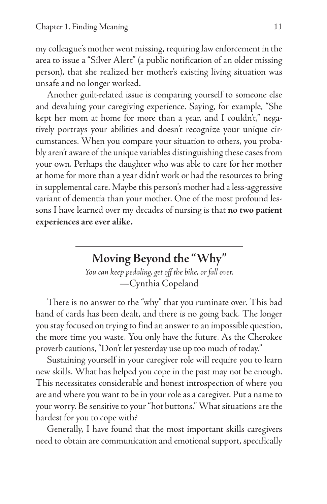my colleague's mother went missing, requiring law enforcement in the area to issue a "Silver Alert" (a public notification of an older missing person), that she realized her mother's existing living situation was unsafe and no longer worked.

Another guilt-related issue is comparing yourself to someone else and devaluing your caregiving experience. Saying, for example, "She kept her mom at home for more than a year, and I couldn't," negatively portrays your abilities and doesn't recognize your unique circumstances. When you compare your situation to others, you probably aren't aware of the unique variables distinguishing these cases from your own. Perhaps the daughter who was able to care for her mother at home for more than a year didn't work or had the resources to bring in supplemental care. Maybe this person's mother had a less-aggressive variant of dementia than your mother. One of the most profound lessons I have learned over my decades of nursing is that **no two patient experiences are ever alike.** 

### **Moving Beyond the "Why"**

*You can keep pedaling, get off the bike, or fall over.* —Cynthia Copeland

There is no answer to the "why" that you ruminate over. This bad hand of cards has been dealt, and there is no going back. The longer you stay focused on trying to find an answer to an impossible question, the more time you waste. You only have the future. As the Cherokee proverb cautions, "Don't let yesterday use up too much of today."

Sustaining yourself in your caregiver role will require you to learn new skills. What has helped you cope in the past may not be enough. This necessitates considerable and honest introspection of where you are and where you want to be in your role as a caregiver. Put a name to your worry. Be sensitive to your "hot buttons." What situations are the hardest for you to cope with?

Generally, I have found that the most important skills caregivers need to obtain are communication and emotional support, specifically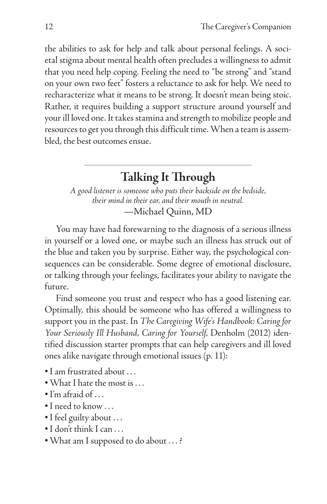the abilities to ask for help and talk about personal feelings. A societal stigma about mental health often precludes a willingness to admit that you need help coping. Feeling the need to "be strong" and "stand on your own two feet" fosters a reluctance to ask for help. We need to recharacterize what it means to be strong. It doesn't mean being stoic. Rather, it requires building a support structure around yourself and your ill loved one. It takes stamina and strength to mobilize people and resources to get you through this difficult time. When a team is assembled, the best outcomes ensue.

## **Talking It Through**

*A good listener is someone who puts their backside on the bedside, their mind in their ear, and their mouth in neutral.* —Michael Quinn, MD

You may have had forewarning to the diagnosis of a serious illness in yourself or a loved one, or maybe such an illness has struck out of the blue and taken you by surprise. Either way, the psychological consequences can be considerable. Some degree of emotional disclosure, or talking through your feelings, facilitates your ability to navigate the future.

Find someone you trust and respect who has a good listening ear. Optimally, this should be someone who has offered a willingness to support you in the past. In *The Caregiving Wife's Handbook: Caring for Your Seriously Ill Husband, Caring for Yourself*, Denholm (2012) identified discussion starter prompts that can help caregivers and ill loved ones alike navigate through emotional issues (p. 11):

- •I am frustrated about . . .
- •What I hate the most is . . .
- $\bullet$  I'm afraid of  $\dots$
- •I need to know . . .
- •I feel guilty about . . .
- •I don't think I can . . .
- •What am I supposed to do about . . . ?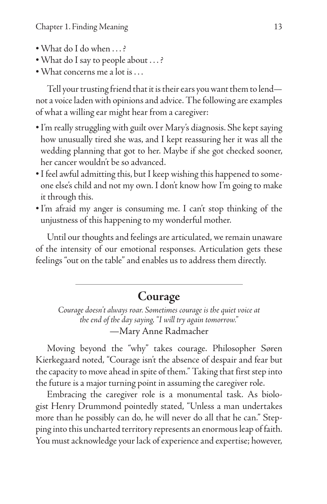- •What do I do when . . . ?
- •What do I say to people about . . . ?
- •What concerns me a lot is . . .

Tell your trusting friend that it is their ears you want them to lend not a voice laden with opinions and advice. The following are examples of what a willing ear might hear from a caregiver:

- •I'm really struggling with guilt over Mary's diagnosis. She kept saying how unusually tired she was, and I kept reassuring her it was all the wedding planning that got to her. Maybe if she got checked sooner, her cancer wouldn't be so advanced.
- •I feel awful admitting this, but I keep wishing this happened to someone else's child and not my own. I don't know how I'm going to make it through this.
- •I'm afraid my anger is consuming me. I can't stop thinking of the unjustness of this happening to my wonderful mother.

Until our thoughts and feelings are articulated, we remain unaware of the intensity of our emotional responses. Articulation gets these feelings "out on the table" and enables us to address them directly.

#### **Courage**

*Courage doesn't always roar. Sometimes courage is the quiet voice at the end of the day saying, "I will try again tomorrow."* —Mary Anne Radmacher

Moving beyond the "why" takes courage. Philosopher Søren Kierkegaard noted, "Courage isn't the absence of despair and fear but the capacity to move ahead in spite of them." Taking that first step into the future is a major turning point in assuming the caregiver role.

Embracing the caregiver role is a monumental task. As biologist Henry Drummond pointedly stated, "Unless a man undertakes more than he possibly can do, he will never do all that he can." Stepping into this uncharted territory represents an enormous leap of faith. You must acknowledge your lack of experience and expertise; however,